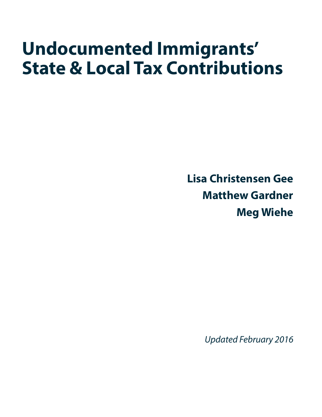# **Undocumented Immigrants' State & Local Tax Contributions**

**Lisa Christensen Gee Matthew Gardner Meg Wiehe**

*Updated February 2016*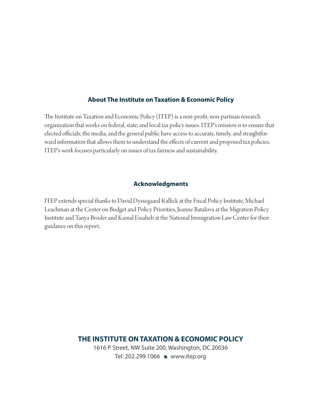#### **About The Institute on Taxation & Economic Policy**

The Institute on Taxation and Economic Policy (ITEP) is a non-profit, non-partisan research organization that works on federal, state, and local tax policy issues. ITEP's mission is to ensure that elected officials, the media, and the general public have access to accurate, timely, and straightforward information that allows them to understand the effects of current and proposed tax policies. ITEP's work focuses particularly on issues of tax fairness and sustainability.

#### **Acknowledgments**

ITEP extends special thanks to David Dyssegaard Kallick at the Fiscal Policy Institute, Michael Leachman at the Center on Budget and Policy Priorities, Jeanne Batalova at the Migration Policy Institute and Tanya Broder and Kamal Essaheb at the National Immigration Law Center for their guidance on this report.

> **THE INSTITUTE ON TAXATION & ECONOMIC POLICY** 1616 P Street, NW Suite 200, Washington, DC 20036 Tel: 202.299.1066 > www.itep.org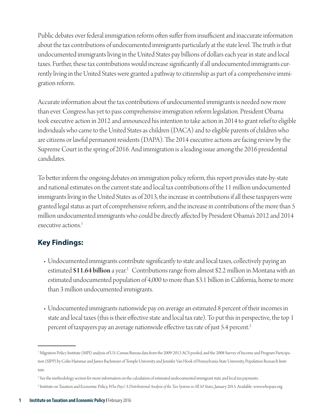Public debates over federal immigration reform often suffer from insufficient and inaccurate information about the tax contributions of undocumented immigrants particularly at the state level. The truth is that undocumented immigrants living in the United States pay billions of dollars each year in state and local taxes. Further, these tax contributions would increase significantly if all undocumented immigrants currently living in the United States were granted a pathway to citizenship as part of a comprehensive immigration reform.

Accurate information about the tax contributions of undocumented immigrants is needed now more than ever. Congress has yet to pass comprehensive immigration reform legislation. President Obama took executive action in 2012 and announced his intention to take action in 2014 to grant relief to eligible individuals who came to the United States as children (DACA) and to eligible parents of children who are citizens or lawful permanent residents (DAPA). The 2014 executive actions are facing review by the Supreme Court in the spring of 2016. And immigration is a leading issue among the 2016 presidential candidates.

To better inform the ongoing debates on immigration policy reform, this report provides state-by-state and national estimates on the current state and local tax contributions of the 11 million undocumented immigrants living in the United States as of 2013, the increase in contributions if all these taxpayers were granted legal status as part of comprehensive reform, and the increase in contributions of the more than 5 million undocumented immigrants who could be directly affected by President Obama's 2012 and 2014 executive actions.<sup>1</sup>

#### **Key Findings:**

- Undocumented immigrants contribute significantly to state and local taxes, collectively paying an estimated \$11.64 billion a year.<sup>2</sup> Contributions range from almost \$2.2 million in Montana with an estimated undocumented population of 4,000 to more than \$3.1 billion in California, home to more than 3 million undocumented immigrants.
- Undocumented immigrants nationwide pay on average an estimated 8 percent of their incomes in state and local taxes (this is their effective state and local tax rate). To put this in perspective, the top 1 percent of taxpayers pay an average nationwide effective tax rate of just 5.4 percent.3

<sup>1</sup> Migration Policy Institute (MPI) analysis of U.S. Census Bureau data from the 2009-2013 ACS pooled, and the 2008 Survey of Income and Program Participation (SIPP) by Colin Hammar and James Bachmeier of Temple University and Jennifer Van Hook of Pennsylvania State University, Population Research Institute.

<sup>2</sup> See the methodology section for more information on the calculation of estimated undocumented immigrant state and local tax payments.

<sup>3</sup> Institute on Taxation and Economic Policy, *Who Pays? A Distributional Analysis of the Tax Systems in All 50 States*, January 2015. Available: www.whopays.org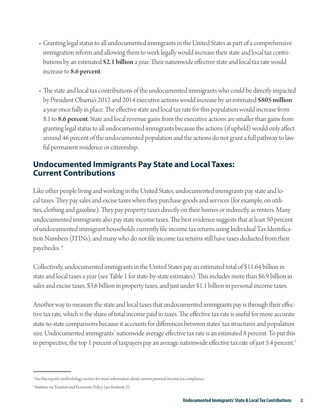- Granting legal status to all undocumented immigrants in the United States as part of a comprehensive immigration reform and allowing them to work legally would increase their state and local tax contributions by an estimated \$2.1 billion a year. Their nationwide effective state and local tax rate would increase to 8.6 percent.
- The state and local tax contributions of the undocumented immigrants who could be directly impacted by President Obama's 2012 and 2014 executive actions would increase by an estimated \$805 million a year once fully in place. The effective state and local tax rate for this population would increase from 8.1 to 8.6 percent. State and local revenue gains from the executive actions are smaller than gains from granting legal status to all undocumented immigrants because the actions (if upheld) would only affect around 46 percent of the undocumented population and the actions do not grant a full pathway to lawful permanent residence or citizenship.

#### **Undocumented Immigrants Pay State and Local Taxes: Current Contributions**

Like other people living and working in the United States, undocumented immigrants pay state and local taxes. They pay sales and excise taxes when they purchase goods and services (for example, on utilities, clothing and gasoline). They pay property taxes directly on their homes or indirectly as renters. Many undocumented immigrants also pay state income taxes. The best evidence suggests that at least 50 percent of undocumented immigrant households currently file income tax returns using Individual Tax Identification Numbers (ITINs), and many who do not file income tax returns still have taxes deducted from their paychecks. 4

Collectively, undocumented immigrants in the United States pay an estimated total of \$11.64 billion in state and local taxes a year (see Table 1 for state-by-state estimates). This includes more than \$6.9 billion in sales and excise taxes, \$3.6 billion in property taxes, and just under \$1.1 billion in personal income taxes.

Another way to measure the state and local taxes that undocumented immigrants pay is through their effective tax rate, which is the share of total income paid in taxes. The effective tax rate is useful for more accurate state-to-state comparisons because it accounts for differences between states' tax structures and population size. Undocumented immigrants' nationwide average effective tax rate is an estimated 8 percent. To put this in perspective, the top 1 percent of taxpayers pay an average nationwide effective tax rate of just 5.4 percent.<sup>5</sup>

<sup>4</sup> See this report's methodology section for more information about current personal income tax compliance.

<sup>&</sup>lt;sup>5</sup> Institute on Taxation and Economic Policy (see footnote 3).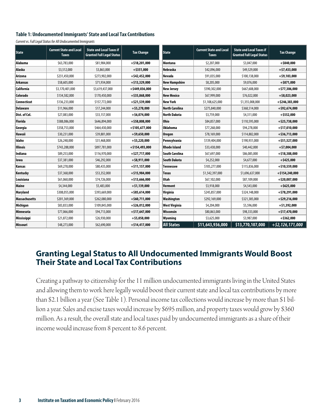#### **Table 1: Undocumented Immigrants' State and Local Tax Contributions**

*Current vs. Full Legal Status for All Undocumented Immigrants*

| <b>State</b>    | <b>Current State and Local</b><br><b>Taxes</b> | <b>State and Local Taxes if</b><br><b>Granted Full Legal Status</b> | <b>Tax Change</b> | State                 | <b>Current State and Local</b><br><b>Taxes</b> | <b>State and Local Taxes if</b><br><b>Granted Full Legal Status</b> | <b>Tax Change</b>   |
|-----------------|------------------------------------------------|---------------------------------------------------------------------|-------------------|-----------------------|------------------------------------------------|---------------------------------------------------------------------|---------------------|
| Alabama         | \$63,783,000                                   | \$81,984,000                                                        | $+ $18,201,000$   | Montana               | \$2,207,000                                    | \$3,047,000                                                         | $+ $840,000$        |
| Alaska          | \$3,512,000                                    | \$3,863,000                                                         | $+ $351,000$      | Nebraska              | \$42,096,000                                   | \$49,529,000                                                        | $+ $7,433,000$      |
| Arizona         | \$231,450,000                                  | \$273,902,000                                                       | $+$ \$42,452,000  | Nevada                | \$91,035,000                                   | \$100,138,000                                                       | $+$ \$9,103,000     |
| <b>Arkansas</b> | \$58,605,000                                   | \$71,934,000                                                        | $+ $13,329,000$   | <b>New Hampshire</b>  | \$8,205,000                                    | \$9,076,000                                                         | $+$ \$871,000       |
| California      | \$3,170,401,000                                | \$3,619,437,000                                                     | $+$ \$449,036,000 | New Jersey            | \$590,302,000                                  | \$667,608,000                                                       | $+$ \$77,306,000    |
| <b>Colorado</b> | \$134,582,000                                  | \$170,450,000                                                       | $+ $35,868,000$   | New Mexico            | \$67,999,000                                   | \$76,022,000                                                        | $+$ \$8,023,000     |
| Connecticut     | \$136,233,000                                  | \$157,772,000                                                       | $+ $21,539,000$   | New York              | \$1,108,625,000                                | \$1,355,008,000                                                     | $+ $246,383,000$    |
| <b>Delaware</b> | \$11,966,000                                   | \$17,244,000                                                        | $+$ \$5,278,000   | <b>North Carolina</b> | \$275,840,000                                  | \$368,514,000                                                       | $+$ \$92,674,000    |
| Dist. of Col.   | \$27,083,000                                   | \$33,157,000                                                        | $+$ \$6,074,000   | <b>North Dakota</b>   | \$3,759,000                                    | \$4,311,000                                                         | $+ $552,000$        |
| <b>Florida</b>  | \$588,086,000                                  | \$646,894,000                                                       | $+ $58,808,000$   | Ohio                  | \$84,857,000                                   | \$110,595,000                                                       | $+$ \$25,738,000    |
| Georgia         | \$358,753,000                                  | \$464,430,000                                                       | $+ $105,677,000$  | Oklahoma              | \$77,268,000                                   | \$94,278,000                                                        | $+ $17,010,000$     |
| Hawaii          | \$30,231,000                                   | \$39,881,000                                                        | $+$ \$9,650,000   | Oregon                | \$78,169,000                                   | \$114,882,000                                                       | $+ $36,713,000$     |
| Idaho           | \$26,248,000                                   | \$31,468,000                                                        | $+55.220.000$     | Pennsylvania          | \$139,404,000                                  | \$190,931,000                                                       | $+ $51,527,000$     |
| <b>Illinois</b> | \$743,288,000                                  | \$897,781,000                                                       | $+ $154,493,000$  | <b>Rhode Island</b>   | \$33,438,000                                   | \$40,442,000                                                        | $+$ \$7,004,000     |
| Indiana         | \$89,253,000                                   | \$116,970,000                                                       | $+$ \$27,717,000  | South Carolina        | \$67,697,000                                   | \$86,085,000                                                        | $+ $18,388,000$     |
| lowa            | \$37,381,000                                   | \$46,292,000                                                        | $+$ \$8,911,000   | South Dakota          | \$4,252,000                                    | \$4,677,000                                                         | $+ $425,000$        |
| Kansas          | \$69,278,000                                   | \$80,435,000                                                        | $+ $11,157,000$   | <b>Tennessee</b>      | \$105,277,000                                  | \$115,836,000                                                       | $+ $10,559,000$     |
| Kentucky        | \$37,368,000                                   | \$53,352,000                                                        | $+ $15,984,000$   | Texas                 | \$1,542,397,000                                | \$1,696,637,000                                                     | $+ $154,240,000$    |
| Louisiana       | \$61,060,000                                   | \$74,726,000                                                        | $+ $13,666,000$   | Utah                  | \$67,102,000                                   | \$87,109,000                                                        | $+$ \$20,007,000    |
| Maine           | \$4,344,000                                    | \$5,483,000                                                         | $+ $1,139,000$    | <b>Vermont</b>        | \$3,918,000                                    | \$4,543,000                                                         | $+ $625,000$        |
| <b>Maryland</b> | \$308,055,000                                  | \$393,669,000                                                       | $+$ \$85,614,000  | Virginia              | \$245,857,000                                  | \$324,148,000                                                       | $+$ \$78,291,000    |
| Massachusetts   | \$201,369,000                                  | \$262,080,000                                                       | $+$ \$60,711,000  | Washington            | \$292,169,000                                  | \$321,385,000                                                       | $+$ \$29,216,000    |
| Michigan        | \$83,833,000                                   | \$109,845,000                                                       | $+ $26,012,000$   | <b>West Virginia</b>  | \$4,204,000                                    | \$5,596,000                                                         | $+ $1,392,000$      |
| Minnesota       | \$77,066,000                                   | \$94,713,000                                                        | $+ $17,647,000$   | Wisconsin             | \$80,863,000                                   | \$98,333,000                                                        | $+ $17,470,000$     |
| Mississippi     | \$21,872,000                                   | \$26,930,000                                                        | $+$ \$5,058,000   | Wyoming               | \$3,625,000                                    | \$3,987,000                                                         | $+$ \$362,000       |
| Missouri        | \$48,273,000                                   | \$62,690,000                                                        | $+ $14,417,000$   | <b>All States</b>     | \$11,643,936,000                               | \$13,770,107,000                                                    | $+$ \$2,126,171,000 |

#### **Granting Legal Status to All Undocumented Immigrants Would Boost Their State and Local Tax Contributions**

Creating a pathway to citizenship for the 11 million undocumented immigrants living in the United States and allowing them to work here legally would boost their current state and local tax contributions by more than \$2.1 billion a year (See Table 1). Personal income tax collections would increase by more than \$1 billion a year. Sales and excise taxes would increase by \$695 million, and property taxes would grow by \$360 million. As a result, the overall state and local taxes paid by undocumented immigrants as a share of their income would increase from 8 percent to 8.6 percent.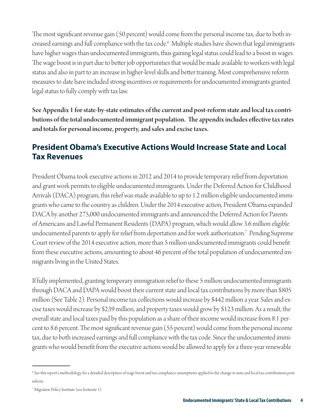The most significant revenue gain (50 percent) would come from the personal income tax, due to both increased earnings and full compliance with the tax code.6 Multiple studies have shown that legal immigrants have higher wages than undocumented immigrants, thus gaining legal status could lead to a boost in wages. The wage boost is in part due to better job opportunities that would be made available to workers with legal status and also in part to an increase in higher-level skills and better training. Most comprehensive reform measures to date have included strong incentives or requirements for undocumented immigrants granted legal status to fully comply with tax law.

See Appendix 1 for state-by-state estimates of the current and post-reform state and local tax contributions of the total undocumented immigrant population. The appendix includes effective tax rates and totals for personal income, property, and sales and excise taxes.

#### **President Obama's Executive Actions Would Increase State and Local Tax Revenues**

President Obama took executive actions in 2012 and 2014 to provide temporary relief from deportation and grant work permits to eligible undocumented immigrants. Under the Deferred Action for Childhood Arrivals (DACA) program, this relief was made available to up to 1.2 million eligible undocumented immigrants who came to the country as children. Under the 2014 executive action, President Obama expanded DACA by another 275,000 undocumented immigrants and announced the Deferred Action for Parents of Americans and Lawful Permanent Residents (DAPA) program, which would allow 3.6 million eligible undocumented parents to apply for relief from deportation and for work authorization.7 Pending Supreme Court review of the 2014 executive action, more than 5 million undocumented immigrants could benefit from these executive actions, amounting to about 46 percent of the total population of undocumented immigrants living in the United States.

If fully implemented, granting temporary immigration relief to these 5 million undocumented immigrants through DACA and DAPA would boost their current state and local tax contributions by more than \$805 million (See Table 2). Personal income tax collections would increase by \$442 million a year. Sales and excise taxes would increase by \$239 million, and property taxes would grow by \$123 million. As a result, the overall state and local taxes paid by this population as a share of their income would increase from 8.1 percent to 8.6 percent. The most significant revenue gain (55 percent) would come from the personal income tax, due to both increased earnings and full compliance with the tax code. Since the undocumented immigrants who would benefit from the executive actions would be allowed to apply for a three-year renewable

<sup>6</sup> See this report's methodology for a detailed description of wage boost and tax compliance assumptions applied to the change in state and local tax contributions postreform.

<sup>7</sup> Migration Policy Institute (see footnote 1).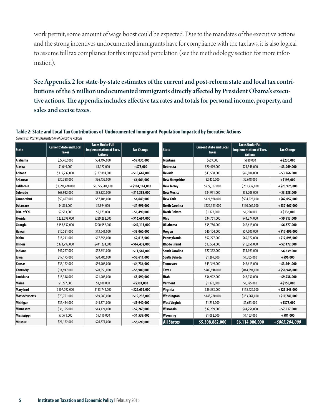work permit, some amount of wage boost could be expected. Due to the mandates of the executive actions and the strong incentives undocumented immigrants have for compliance with the tax laws, it is also logical to assume full tax compliance for this impacted population (see the methodology section for more information).

See Appendix 2 for state-by-state estimates of the current and post-reform state and local tax contributions of the 5 million undocumented immigrants directly affected by President Obama's executive actions. The appendix includes effective tax rates and totals for personal income, property, and sales and excise taxes.

#### **Table 2: State and Local Tax Contributions of Undocumented Immigrant Population Impacted by Executive Actions**

| Current vs. Post Implementation of Executive Actions |  |
|------------------------------------------------------|--|
|------------------------------------------------------|--|

| <b>State</b>         | <b>Current State and Local</b><br><b>Taxes</b> | <b>Taxes Under Full</b><br><b>Implementation of Exec.</b><br><b>Actions</b> | <b>Tax Change</b> | <b>State</b>          | <b>Current State and Local</b><br><b>Taxes</b> | <b>Taxes Under Full</b><br><b>Implementation of Exec.</b><br><b>Actions</b> | <b>Tax Change</b> |
|----------------------|------------------------------------------------|-----------------------------------------------------------------------------|-------------------|-----------------------|------------------------------------------------|-----------------------------------------------------------------------------|-------------------|
| Alabama              | \$27,462,000                                   | \$34,497,000                                                                | $+$ \$7,035,000   | Montana               | \$659,000                                      | \$889,000                                                                   | $+$ \$230,000     |
| Alaska               | \$1,049,000                                    | \$1,127,000                                                                 | $+ $78,000$       | Nebraska              | \$20,479,000                                   | \$23,548,000                                                                | $+$ \$3,069,000   |
| Arizona              | \$119,232,000                                  | \$137,894,000                                                               | $+ $18,662,000$   | <b>Nevada</b>         | \$43,538,000                                   | \$46,804,000                                                                | $+$ \$3,266,000   |
| <b>Arkansas</b>      | \$30,388,000                                   | \$36,452,000                                                                | $+$ \$6,064,000   | <b>New Hampshire</b>  | \$2,450,000                                    | \$2,648,000                                                                 | $+ $198,000$      |
| California           | \$1,591,470,000                                | \$1,775,584,000                                                             | $+ $184,114,000$  | <b>New Jersey</b>     | \$227,307,000                                  | \$251,232,000                                                               | $+$ \$23,925,000  |
| Colorado             | \$68,932,000                                   | \$85,320,000                                                                | $+ $16,388,000$   | New Mexico            | \$34,971,000                                   | \$38,209,000                                                                | $+$ \$3,238,000   |
| Connecticut          | \$50,457,000                                   | \$57,106,000                                                                | $+$ \$6,649,000   | <b>New York</b>       | \$421,968,000                                  | \$504,025,000                                                               | $+$ \$82,057,000  |
| <b>Delaware</b>      | \$4,895,000                                    | \$6,894,000                                                                 | $+ $1,999,000$    | <b>North Carolina</b> | \$122,595,000                                  | \$160,062,000                                                               | $+$ \$37,467,000  |
| Dist. of Col.        | \$7,583,000                                    | \$9,073,000                                                                 | $+ $1,490,000$    | <b>North Dakota</b>   | \$1,122,000                                    | \$1,258,000                                                                 | $+ $136,000$      |
| <b>Florida</b>       | \$222,598,000                                  | \$239,292,000                                                               | $+ $16,694,000$   | Ohio                  | \$34,761,000                                   | \$44,274,000                                                                | $+$ \$9,513,000   |
| Georgia              | \$158,837,000                                  | \$200,952,000                                                               | $+$ \$42,115,000  | <b>Oklahoma</b>       | \$35,736,000                                   | \$42,613,000                                                                | $+$ \$6,877,000   |
| <b>Hawaii</b>        | \$10,581,000                                   | \$13,641,000                                                                | $+$ \$3,060,000   | <b>Oregon</b>         | \$40,104,000                                   | \$57,600,000                                                                | $+ $17,496,000$   |
| Idaho                | \$15,241,000                                   | \$17,856,000                                                                | $+$ \$2,615,000   | Pennsylvania          | \$52,277,000                                   | \$69,972,000                                                                | $+ $17,695,000$   |
| <b>Illinois</b>      | \$373,792,000                                  | \$441,224,000                                                               | $+$ \$67,432,000  | <b>Rhode Island</b>   | \$13,584,000                                   | \$16,056,000                                                                | $+$ \$2,472,000   |
| Indiana              | \$41,267,000                                   | \$52,854,000                                                                | $+ $11,587,000$   | <b>South Carolina</b> | \$27,352,000                                   | \$33,991,000                                                                | $+$ \$6,639,000   |
| lowa                 | \$17,175,000                                   | \$20,786,000                                                                | $+$ \$3,611,000   | <b>South Dakota</b>   | \$1,269,000                                    | \$1,365,000                                                                 | $+$ \$96,000      |
| Kansas               | \$35,172,000                                   | \$39,908,000                                                                | $+ $4,736,000$    | Tennessee             | \$43,349,000                                   | \$46,613,000                                                                | $+$ \$3,264,000   |
| Kentucky             | \$14,947,000                                   | \$20,856,000                                                                | $+$ \$5,909,000   | Texas                 | \$785,948,000                                  | \$844,894,000                                                               | $+$ \$58,946,000  |
| Louisiana            | \$18,318,000                                   | \$21,908,000                                                                | $+$ \$3,590,000   | Utah                  | \$36,992,000                                   | \$46,930,000                                                                | $+$ \$9,938,000   |
| <b>Maine</b>         | \$1,297,000                                    | \$1,600,000                                                                 | $+$ \$303,000     | Vermont               | \$1,170,000                                    | \$1,325,000                                                                 | $+ $155,000$      |
| Maryland             | \$107,092,000                                  | \$133,744,000                                                               | $+$ \$26,652,000  | Virginia              | \$89,583,000                                   | \$115,426,000                                                               | $+ $25,843,000$   |
| <b>Massachusetts</b> | \$70,751,000                                   | \$89,989,000                                                                | $+ $19,238,000$   | Washington            | \$143,220,000                                  | \$153,961,000                                                               | $+ $10,741,000$   |
| Michigan             | \$35,434,000                                   | \$45,374,000                                                                | $+$ \$9,940,000   | West Virginia         | \$1,255,000                                    | \$1,633,000                                                                 | $+$ \$378,000     |
| Minnesota            | \$36,155,000                                   | \$43,424,000                                                                | $+$ \$7,269,000   | Wisconsin             | \$37,239,000                                   | \$44,256,000                                                                | $+$ \$7,017,000   |
| <b>Mississippi</b>   | \$7,571,000                                    | \$9,110,000                                                                 | $+ $1,539,000$    | Wyoming               | \$1,082,000                                    | \$1,163,000                                                                 | $+$ \$81,000      |
| <b>Missouri</b>      | \$21,172,000                                   | \$26,871,000                                                                | $+ $5,699,000$    | <b>All States</b>     | \$5,308,882,000                                | \$6,114,086,000                                                             | +\$805,204,000    |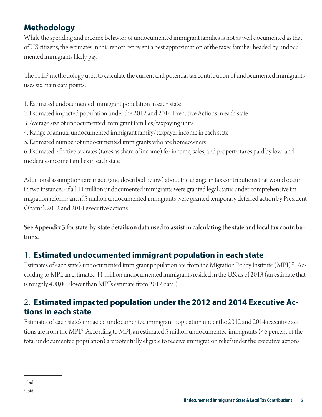### **Methodology**

While the spending and income behavior of undocumented immigrant families is not as well documented as that of US citizens, the estimates in this report represent a best approximation of the taxes families headed by undocumented immigrants likely pay.

The ITEP methodology used to calculate the current and potential tax contribution of undocumented immigrants uses six main data points:

- 1. Estimated undocumented immigrant population in each state
- 2. Estimated impacted population under the 2012 and 2014 Executive Actions in each state
- 3. Average size of undocumented immigrant families/taxpaying units
- 4. Range of annual undocumented immigrant family/taxpayer income in each state
- 5. Estimated number of undocumented immigrants who are homeowners

6. Estimated effective tax rates (taxes as share of income) for income, sales, and property taxes paid by low- and moderate-income families in each state

Additional assumptions are made (and described below) about the change in tax contributions that would occur in two instances: if all 11 million undocumented immigrants were granted legal status under comprehensive immigration reform; and if 5 million undocumented immigrants were granted temporary deferred action by President Obama's 2012 and 2014 executive actions.

See Appendix 3 for state-by-state details on data used to assist in calculating the state and local tax contributions.

### 1. **Estimated undocumented immigrant population in each state**

Estimates of each state's undocumented immigrant population are from the Migration Policy Institute (MPI). $^{\rm 8}$  According to MPI, an estimated 11 million undocumented immigrants resided in the U.S. as of 2013 (an estimate that is roughly 400,000 lower than MPI's estimate from 2012 data.)

### 2. **Estimated impacted population under the 2012 and 2014 Executive Actions in each state**

Estimates of each state's impacted undocumented immigrant population under the 2012 and 2014 executive actions are from the MPI.9 According to MPI, an estimated 5 million undocumented immigrants (46 percent of the total undocumented population) are potentially eligible to receive immigration relief under the executive actions.

<sup>8</sup> Ibid.

<sup>9</sup> Ibid.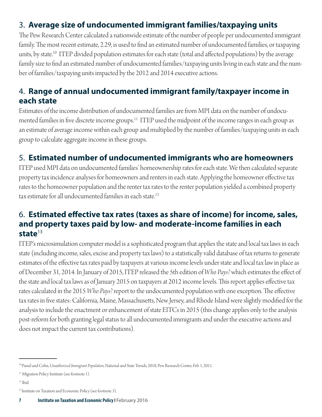### 3. **Average size of undocumented immigrant families/taxpaying units**

The Pew Research Center calculated a nationwide estimate of the number of people per undocumented immigrant family. The most recent estimate, 2.29, is used to find an estimated number of undocumented families, or taxpaying units, by state.<sup>10</sup> ITEP divided population estimates for each state (total and affected populations) by the average family size to find an estimated number of undocumented families/taxpaying units living in each state and the number of families/taxpaying units impacted by the 2012 and 2014 executive actions.

#### 4. **Range of annual undocumented immigrant family/taxpayer income in each state**

Estimates of the income distribution of undocumented families are from MPI data on the number of undocumented families in five discrete income groups.<sup>11</sup> ITEP used the midpoint of the income ranges in each group as an estimate of average income within each group and multiplied by the number of families/taxpaying units in each group to calculate aggregate income in these groups.

#### 5. **Estimated number of undocumented immigrants who are homeowners**

ITEP used MPI data on undocumented families' homeownership rates for each state. We then calculated separate property tax incidence analyses for homeowners and renters in each state. Applying the homeowner effective tax rates to the homeowner population and the renter tax rates to the renter population yielded a combined property tax estimate for all undocumented families in each state.<sup>12</sup>

#### 6. **Estimated effective tax rates (taxes as share of income) for income, sales, and property taxes paid by low- and moderate-income families in each state**<sup>13</sup>

ITEP's microsimulation computer model is a sophisticated program that applies the state and local tax laws in each state (including income, sales, excise and property tax laws) to a statistically valid database of tax returns to generate estimates of the effective tax rates paid by taxpayers at various income levels under state and local tax law in place as of December 31, 2014. In January of 2015, ITEP released the 5th edition of *Who Pays?* which estimates the effect of the state and local tax laws as of January 2015 on taxpayers at 2012 income levels. This report applies effective tax rates calculated in the 2015 *Who Pays?* report to the undocumented population with one exception. The effective tax rates in five states: California, Maine, Massachusetts, New Jersey, and Rhode Island were slightly modified for the analysis to include the enactment or enhancement of state EITCs in 2015 (this change applies only to the analysis post-reform for both granting legal status to all undocumented immigrants and under the executive actions and does not impact the current tax contributions).

<sup>10</sup> Passel and Cohn, *Unauthorized Immigrant Population*, National and State Trends, 2010, Pew Research Center, Feb. 1, 2011.

<sup>&</sup>lt;sup>11</sup> Migration Policy Institute (see footnote 1).

<sup>12</sup> Ibid.

<sup>&</sup>lt;sup>13</sup> Institute on Taxation and Economic Policy (see footnote 3).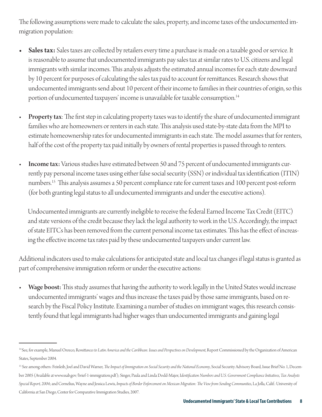The following assumptions were made to calculate the sales, property, and income taxes of the undocumented immigration population:

- Sales tax: Sales taxes are collected by retailers every time a purchase is made on a taxable good or service. It is reasonable to assume that undocumented immigrants pay sales tax at similar rates to U.S. citizens and legal immigrants with similar incomes. This analysis adjusts the estimated annual incomes for each state downward by 10 percent for purposes of calculating the sales tax paid to account for remittances. Research shows that undocumented immigrants send about 10 percent of their income to families in their countries of origin, so this portion of undocumented taxpayers' income is unavailable for taxable consumption.<sup>14</sup>
- Property tax: The first step in calculating property taxes was to identify the share of undocumented immigrant families who are homeowners or renters in each state. This analysis used state-by-state data from the MPI to estimate homeownership rates for undocumented immigrants in each state. The model assumes that for renters, half of the cost of the property tax paid initially by owners of rental properties is passed through to renters.
- Income tax: Various studies have estimated between 50 and 75 percent of undocumented immigrants currently pay personal income taxes using either false social security (SSN) or individual tax identification (ITIN) numbers.<sup>15</sup> This analysis assumes a 50 percent compliance rate for current taxes and 100 percent post-reform (for both granting legal status to all undocumented immigrants and under the executive actions).

Undocumented immigrants are currently ineligible to receive the federal Earned Income Tax Credit (EITC) and state versions of the credit because they lack the legal authority to work in the U.S. Accordingly, the impact of state EITCs has been removed from the current personal income tax estimates. This has the effect of increasing the effective income tax rates paid by these undocumented taxpayers under current law.

Additional indicators used to make calculations for anticipated state and local tax changes if legal status is granted as part of comprehensive immigration reform or under the executive actions:

Wage boost: This study assumes that having the authority to work legally in the United States would increase undocumented immigrants' wages and thus increase the taxes paid by those same immigrants, based on research by the Fiscal Policy Institute. Examining a number of studies on immigrant wages, this research consistently found that legal immigrants had higher wages than undocumented immigrants and gaining legal

<sup>&</sup>lt;sup>14</sup> See, for example, Manuel Orozco, Remittances to Latin America and the Caribbean: Issues and Perspectives on Development, Report Commissioned by the Organization of American States, September 2004.

<sup>&</sup>lt;sup>15</sup> See among others: Feinleib, Joel and David Warner, *The Impact of Immigration on Social Security and the National Economy*, Social Security Advisory Board, Issue Brief No. 1, December 2005 (Available at www.ssab.gov/brief-1-immigration.pdf ); Singer, Paula and Linda Dodd-Major, I*dentification Numbers and U.S. Government Compliance Initiatives*, *Tax Analysts Special Report, 2004*; and Cornelius, Wayne and Jessica Lewis, *Impacts of Border Enforcement on Mexican Migration: The View from Sending Communities*, La Jolla, Calif.: University of California at San Diego, Center for Comparative Immigration Studies, 2007.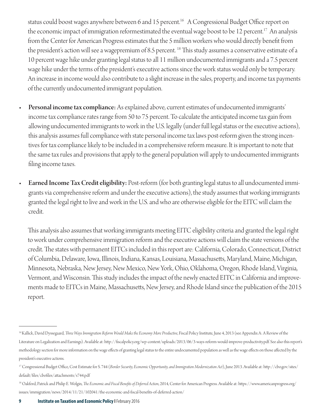status could boost wages anywhere between 6 and 15 percent.<sup>16</sup> A Congressional Budget Office report on the economic impact of immigration reformestimated the eventual wage boost to be 12 percent.<sup>17</sup> An analysis from the Center for American Progress estimates that the 5 million workers who would directly benefit from the president's action will see a wagepremium of 8.5 percent. <sup>18</sup> This study assumes a conservative estimate of a 10 percent wage hike under granting legal status to all 11 million undocumented immigrants and a 7.5 percent wage hike under the terms of the president's executive actions since the work status would only be temporary. An increase in income would also contribute to a slight increase in the sales, property, and income tax payments of the currently undocumented immigrant population.

- Personal income tax compliance: As explained above, current estimates of undocumented immigrants' income tax compliance rates range from 50 to 75 percent. To calculate the anticipated income tax gain from allowing undocumented immigrants to work in the U.S. legally (under full legal status or the executive actions), this analysis assumes full compliance with state personal income tax laws post-reform given the strong incentives for tax compliance likely to be included in a comprehensive reform measure. It is important to note that the same tax rules and provisions that apply to the general population will apply to undocumented immigrants filing income taxes.
- Earned Income Tax Credit eligibility: Post-reform (for both granting legal status to all undocumented immigrants via comprehensive reform and under the executive actions), the study assumes that working immigrants granted the legal right to live and work in the U.S. and who are otherwise eligible for the EITC will claim the credit.

This analysis also assumes that working immigrants meeting EITC eligibility criteria and granted the legal right to work under comprehensive immigration reform and the executive actions will claim the state versions of the credit. The states with permanent EITCs included in this report are: California, Colorado, Connecticut, District of Columbia, Delaware, Iowa, Illinois, Indiana, Kansas, Louisiana, Massachusetts, Maryland, Maine, Michigan, Minnesota, Nebraska, New Jersey, New Mexico, New York, Ohio, Oklahoma, Oregon, Rhode Island, Virginia, Vermont, and Wisconsin. This study includes the impact of the newly enacted EITC in California and improvements made to EITCs in Maine, Massachusetts, New Jersey, and Rhode Island since the publication of the 2015 report.

<sup>&</sup>lt;sup>16</sup> Kallick, David Dyssegaard, *Three Ways Immigration Reform Would Make the Economy More Productive*, Fiscal Policy Institute, June 4, 2013 (see Appendix A: A Review of the Literature on Legalization and Earnings). Available at: http://fiscalpolicy.org/wp-content/uploads/2013/06/3-ways-reform-would-improve-productivity.pdf. See also this report's methodology section for more information on the wage effects of granting legal status to the entire undocumented population as well as the wage effects on those affected by the president's executive actions.

<sup>17</sup> Congressional Budget Office, Cost Estimate for S. 744 (*Border Security, Economic Opportunity, and Immigration Modernization Act*), June 2013. Available at: http://cbo.gov/sites/ default/files/cbofiles/attachments/s744.pdf

<sup>&</sup>lt;sup>18</sup> Oakford, Patrick and Philip E. Wolgin, *The Economic and Fiscal Benefits of Deferred Action*, 2014, Center for American Progress. Available at: https://www.americanprogress.org/ issues/immigration/news/2014/11/21/102041/the-economic-and-fiscal-benefits-of-deferred-action/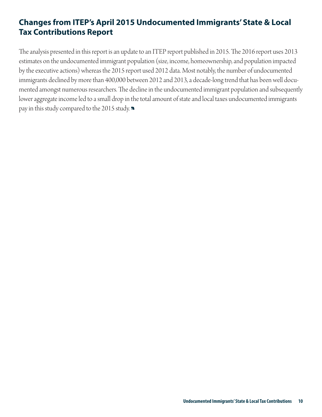### **Changes from ITEP's April 2015 Undocumented Immigrants' State & Local Tax Contributions Report**

The analysis presented in this report is an update to an ITEP report published in 2015. The 2016 report uses 2013 estimates on the undocumented immigrant population (size, income, homeownership, and population impacted by the executive actions) whereas the 2015 report used 2012 data. Most notably, the number of undocumented immigrants declined by more than 400,000 between 2012 and 2013, a decade-long trend that has been well documented amongst numerous researchers. The decline in the undocumented immigrant population and subsequently lower aggregate income led to a small drop in the total amount of state and local taxes undocumented immigrants pay in this study compared to the 2015 study.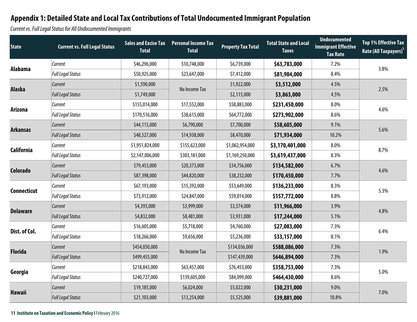Current vs. Full Legal Status for All Undocumented Immigrants

| <b>State</b>       | <b>Current vs. Full Legal Status</b> | <b>Total</b>    | <b>Sales and Excise Tax Personal Income Tax</b><br><b>Total</b> | <b>Property Tax Total</b> | <b>Total State and Local</b><br><b>Taxes</b> | <b>Undocumented</b><br><b>Immigrant Effective</b><br><b>Tax Rate</b> | <b>Top 1% Effective Tax</b><br>Rate (All Taxpayers) <sup>1</sup> |
|--------------------|--------------------------------------|-----------------|-----------------------------------------------------------------|---------------------------|----------------------------------------------|----------------------------------------------------------------------|------------------------------------------------------------------|
| <b>Alabama</b>     | Current                              | \$46,296,000    | \$10,748,000                                                    | \$6,739,000               | \$63,783,000                                 | 7.2%                                                                 | 3.8%                                                             |
|                    | <b>Full Legal Status</b>             | \$50,925,000    | \$23,647,000                                                    | \$7,412,000               | \$81,984,000                                 | 8.4%                                                                 |                                                                  |
| <b>Alaska</b>      | Current                              | \$1,590,000     | No Income Tax                                                   | \$1,922,000               | \$3,512,000                                  | 4.5%                                                                 | 2.5%                                                             |
|                    | <b>Full Legal Status</b>             | \$1,749,000     |                                                                 | \$2,115,000               | \$3,863,000                                  | 4.5%                                                                 |                                                                  |
| <b>Arizona</b>     | Current                              | \$155,014,000   | \$17,552,000                                                    | \$58,883,000              | \$231,450,000                                | 8.0%                                                                 | 4.6%                                                             |
|                    | <b>Full Legal Status</b>             | \$170,516,000   | \$38,615,000                                                    | \$64,772,000              | \$273,902,000                                | 8.6%                                                                 |                                                                  |
| <b>Arkansas</b>    | Current                              | \$44,115,000    | \$6,790,000                                                     | \$7,700,000               | \$58,605,000                                 | 9.1%                                                                 | 5.6%                                                             |
|                    | <b>Full Legal Status</b>             | \$48,527,000    | \$14,938,000                                                    | \$8,470,000               | \$71,934,000                                 | 10.2%                                                                |                                                                  |
| <b>California</b>  | Current                              | \$1,951,824,000 | \$155,623,000                                                   | \$1,062,954,000           | \$3,170,401,000                              | 8.0%                                                                 | 8.7%                                                             |
|                    | <b>Full Legal Status</b>             | \$2,147,006,000 | \$303,181,000                                                   | \$1,169,250,000           | \$3,619,437,000                              | 8.3%                                                                 |                                                                  |
|                    | Current                              | \$79,453,000    | \$20,373,000                                                    | \$34,756,000              | \$134,582,000                                | 6.7%                                                                 | 4.6%                                                             |
| <b>Colorado</b>    | <b>Full Legal Status</b>             | \$87,398,000    | \$44,820,000                                                    | \$38,232,000              | \$170,450,000                                | 7.7%                                                                 |                                                                  |
| <b>Connecticut</b> | Current                              | \$67,193,000    | \$15,392,000                                                    | \$53,649,000              | \$136,233,000                                | 8.3%                                                                 | 5.3%                                                             |
|                    | <b>Full Legal Status</b>             | \$73,912,000    | \$24,847,000                                                    | \$59,014,000              | \$157,772,000                                | 8.8%                                                                 |                                                                  |
| <b>Delaware</b>    | Current                              | \$4,393,000     | \$3,999,000                                                     | \$3,574,000               | \$11,966,000                                 | 3.9%                                                                 | 4.8%                                                             |
|                    | <b>Full Legal Status</b>             | \$4,832,000     | \$8,481,000                                                     | \$3,931,000               | \$17,244,000                                 | 5.1%                                                                 |                                                                  |
|                    | Current                              | \$16,605,000    | \$5,718,000                                                     | \$4,760,000               | \$27,083,000                                 | 7.3%                                                                 | 6.4%                                                             |
| Dist. of Col.      | <b>Full Legal Status</b>             | \$18,266,000    | \$9,656,000                                                     | \$5,236,000               | \$33,157,000                                 | 8.1%                                                                 |                                                                  |
|                    | Current                              | \$454,050,000   |                                                                 | \$134,036,000             | \$588,086,000                                | 7.3%                                                                 |                                                                  |
| <b>Florida</b>     | <b>Full Legal Status</b>             | \$499,455,000   | No Income Tax                                                   | \$147,439,000             | \$646,894,000                                | 7.3%                                                                 | 1.9%                                                             |
|                    | Current                              | \$218,843,000   | \$63,457,000                                                    | \$76,453,000              | \$358,753,000                                | 7.3%                                                                 |                                                                  |
| Georgia            | <b>Full Legal Status</b>             | \$240,727,000   | \$139,605,000                                                   | \$84,099,000              | \$464,430,000                                | 8.6%                                                                 | 5.0%                                                             |
|                    | <b>Current</b>                       | \$19,185,000    | \$6,024,000                                                     | \$5,022,000               | \$30,231,000                                 | 9.0%                                                                 |                                                                  |
| <b>Hawaii</b>      | <b>Full Legal Status</b>             | \$21,103,000    | \$13,254,000                                                    | \$5,525,000               | \$39,881,000                                 | 10.8%                                                                | 7.0%                                                             |

**11 Institute on Taxation and Economic Policy I** February 2016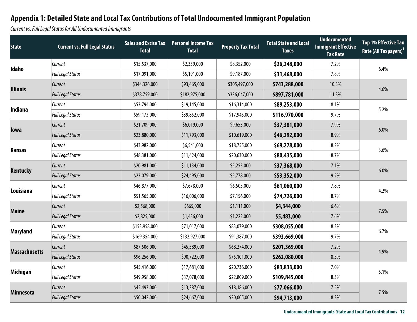Current vs. Full Legal Status for All Undocumented Immigrants

| <b>State</b>         | <b>Current vs. Full Legal Status</b> | <b>Total</b>  | <b>Sales and Excise Tax Personal Income Tax</b><br><b>Total</b> | <b>Property Tax Total</b> | <b>Total State and Local</b><br><b>Taxes</b> | <b>Undocumented</b><br><b>Immigrant Effective</b><br><b>Tax Rate</b> | <b>Top 1% Effective Tax</b><br>Rate (All Taxpayers) <sup>1</sup> |
|----------------------|--------------------------------------|---------------|-----------------------------------------------------------------|---------------------------|----------------------------------------------|----------------------------------------------------------------------|------------------------------------------------------------------|
|                      | Current                              | \$15,537,000  | \$2,359,000                                                     | \$8,352,000               | \$26,248,000                                 | 7.2%                                                                 | 6.4%                                                             |
| Idaho                | <b>Full Legal Status</b>             | \$17,091,000  | \$5,191,000                                                     | \$9,187,000               | \$31,468,000                                 | 7.8%                                                                 |                                                                  |
| <b>Illinois</b>      | Current                              | \$344,326,000 | \$93,465,000                                                    | \$305,497,000             | \$743,288,000                                | 10.3%                                                                | 4.6%                                                             |
|                      | <b>Full Legal Status</b>             | \$378,759,000 | \$182,975,000                                                   | \$336,047,000             | \$897,781,000                                | 11.3%                                                                |                                                                  |
| Indiana              | Current                              | \$53,794,000  | \$19,145,000                                                    | \$16,314,000              | \$89,253,000                                 | 8.1%                                                                 | 5.2%                                                             |
|                      | Full Legal Status                    | \$59,173,000  | \$39,852,000                                                    | \$17,945,000              | \$116,970,000                                | 9.7%                                                                 |                                                                  |
| lowa                 | Current                              | \$21,709,000  | \$6,019,000                                                     | \$9,653,000               | \$37,381,000                                 | 7.9%                                                                 | 6.0%                                                             |
|                      | Full Legal Status                    | \$23,880,000  | \$11,793,000                                                    | \$10,619,000              | \$46,292,000                                 | 8.9%                                                                 |                                                                  |
|                      | Current                              | \$43,982,000  | \$6,541,000                                                     | \$18,755,000              | \$69,278,000                                 | 8.2%                                                                 | 3.6%                                                             |
| <b>Kansas</b>        | <b>Full Legal Status</b>             | \$48,381,000  | \$11,424,000                                                    | \$20,630,000              | \$80,435,000                                 | 8.7%                                                                 |                                                                  |
|                      | Current                              | \$20,981,000  | \$11,134,000                                                    | \$5,253,000               | \$37,368,000                                 | 7.1%                                                                 | 6.0%                                                             |
| <b>Kentucky</b>      | <b>Full Legal Status</b>             | \$23,079,000  | \$24,495,000                                                    | \$5,778,000               | \$53,352,000                                 | 9.2%                                                                 |                                                                  |
| Louisiana            | Current                              | \$46,877,000  | \$7,678,000                                                     | \$6,505,000               | \$61,060,000                                 | 7.8%                                                                 | 4.2%                                                             |
|                      | <b>Full Legal Status</b>             | \$51,565,000  | \$16,006,000                                                    | \$7,156,000               | \$74,726,000                                 | 8.7%                                                                 |                                                                  |
| <b>Maine</b>         | Current                              | \$2,568,000   | \$665,000                                                       | \$1,111,000               | \$4,344,000                                  | 6.6%                                                                 | 7.5%                                                             |
|                      | <b>Full Legal Status</b>             | \$2,825,000   | \$1,436,000                                                     | \$1,222,000               | \$5,483,000                                  | 7.6%                                                                 |                                                                  |
| <b>Maryland</b>      | Current                              | \$153,958,000 | \$71,017,000                                                    | \$83,079,000              | \$308,055,000                                | 8.3%                                                                 | 6.7%                                                             |
|                      | <b>Full Legal Status</b>             | \$169,354,000 | \$132,927,000                                                   | \$91,387,000              | \$393,669,000                                | 9.7%                                                                 |                                                                  |
| <b>Massachusetts</b> | <b>Current</b>                       | \$87,506,000  | \$45,589,000                                                    | \$68,274,000              | \$201,369,000                                | 7.2%                                                                 | 4.9%                                                             |
|                      | <b>Full Legal Status</b>             | \$96,256,000  | \$90,722,000                                                    | \$75,101,000              | \$262,080,000                                | 8.5%                                                                 |                                                                  |
|                      | Current                              | \$45,416,000  | \$17,681,000                                                    | \$20,736,000              | \$83,833,000                                 | 7.0%                                                                 | 5.1%                                                             |
| <b>Michigan</b>      | Full Legal Status                    | \$49,958,000  | \$37,078,000                                                    | \$22,809,000              | \$109,845,000                                | 8.3%                                                                 |                                                                  |
|                      | <b>Current</b>                       | \$45,493,000  | \$13,387,000                                                    | \$18,186,000              | \$77,066,000                                 | 7.5%                                                                 | 7.5%                                                             |
| <b>Minnesota</b>     | <b>Full Legal Status</b>             | \$50,042,000  | \$24,667,000                                                    | \$20,005,000              | \$94,713,000                                 | 8.3%                                                                 |                                                                  |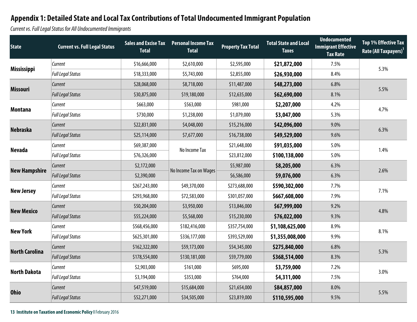Current vs. Full Legal Status for All Undocumented Immigrants

| <b>State</b>          | <b>Current vs. Full Legal Status</b> | <b>Sales and Excise Tax</b><br><b>Total</b> | <b>Personal Income Tax</b><br><b>Total</b> | <b>Property Tax Total</b> | <b>Total State and Local</b><br><b>Taxes</b> | <b>Undocumented</b><br><b>Immigrant Effective</b><br><b>Tax Rate</b> | <b>Top 1% Effective Tax</b><br>Rate (All Taxpayers) <sup>1</sup> |
|-----------------------|--------------------------------------|---------------------------------------------|--------------------------------------------|---------------------------|----------------------------------------------|----------------------------------------------------------------------|------------------------------------------------------------------|
|                       | <b>Current</b>                       | \$16,666,000                                | \$2,610,000                                | \$2,595,000               | \$21,872,000                                 | 7.5%                                                                 | 5.3%                                                             |
| <b>Mississippi</b>    | <b>Full Legal Status</b>             | \$18,333,000                                | \$5,743,000                                | \$2,855,000               | \$26,930,000                                 | 8.4%                                                                 |                                                                  |
| <b>Missouri</b>       | Current                              | \$28,068,000                                | \$8,718,000                                | \$11,487,000              | \$48,273,000                                 | 6.8%                                                                 | 5.5%                                                             |
|                       | <b>Full Legal Status</b>             | \$30,875,000                                | \$19,180,000                               | \$12,635,000              | \$62,690,000                                 | 8.1%                                                                 |                                                                  |
| <b>Montana</b>        | Current                              | \$663,000                                   | \$563,000                                  | \$981,000                 | \$2,207,000                                  | 4.2%                                                                 | 4.7%                                                             |
|                       | <b>Full Legal Status</b>             | \$730,000                                   | \$1,238,000                                | \$1,079,000               | \$3,047,000                                  | 5.3%                                                                 |                                                                  |
| <b>Nebraska</b>       | <b>Current</b>                       | \$22,831,000                                | \$4,048,000                                | \$15,216,000              | \$42,096,000                                 | 9.0%                                                                 | 6.3%                                                             |
|                       | <b>Full Legal Status</b>             | \$25,114,000                                | \$7,677,000                                | \$16,738,000              | \$49,529,000                                 | 9.6%                                                                 |                                                                  |
| <b>Nevada</b>         | Current                              | \$69,387,000                                | No Income Tax                              | \$21,648,000              | \$91,035,000                                 | 5.0%                                                                 | 1.4%                                                             |
|                       | <b>Full Legal Status</b>             | \$76,326,000                                |                                            | \$23,812,000              | \$100,138,000                                | 5.0%                                                                 |                                                                  |
|                       | <b>Current</b>                       | \$2,172,000                                 | No Income Tax on Wages                     | \$5,987,000               | \$8,205,000                                  | 6.3%                                                                 | 2.6%                                                             |
| <b>New Hampshire</b>  | <b>Full Legal Status</b>             | \$2,390,000                                 |                                            | \$6,586,000               | \$9,076,000                                  | 6.3%                                                                 |                                                                  |
|                       | Current                              | \$267,243,000                               | \$49,370,000                               | \$273,688,000             | \$590,302,000                                | 7.7%                                                                 | 7.1%                                                             |
| <b>New Jersey</b>     | <b>Full Legal Status</b>             | \$293,968,000                               | \$72,583,000                               | \$301,057,000             | \$667,608,000                                | 7.9%                                                                 |                                                                  |
| <b>New Mexico</b>     | <b>Current</b>                       | \$50,204,000                                | \$3,950,000                                | \$13,846,000              | \$67,999,000                                 | 9.2%                                                                 | 4.8%                                                             |
|                       | <b>Full Legal Status</b>             | \$55,224,000                                | \$5,568,000                                | \$15,230,000              | \$76,022,000                                 | 9.3%                                                                 |                                                                  |
| <b>New York</b>       | Current                              | \$568,456,000                               | \$182,416,000                              | \$357,754,000             | \$1,108,625,000                              | 8.9%                                                                 | 8.1%                                                             |
|                       | <b>Full Legal Status</b>             | \$625,301,000                               | \$336,177,000                              | \$393,529,000             | \$1,355,008,000                              | 9.9%                                                                 |                                                                  |
| <b>North Carolina</b> | Current                              | \$162,322,000                               | \$59,173,000                               | \$54,345,000              | \$275,840,000                                | 6.8%                                                                 |                                                                  |
|                       | <b>Full Legal Status</b>             | \$178,554,000                               | \$130,181,000                              | \$59,779,000              | \$368,514,000                                | 8.3%                                                                 | 5.3%                                                             |
| <b>North Dakota</b>   | Current                              | \$2,903,000                                 | \$161,000                                  | \$695,000                 | \$3,759,000                                  | 7.2%                                                                 | 3.0%                                                             |
|                       | Full Legal Status                    | \$3,194,000                                 | \$353,000                                  | \$764,000                 | \$4,311,000                                  | 7.5%                                                                 |                                                                  |
| <b>Ohio</b>           | Current                              | \$47,519,000                                | \$15,684,000                               | \$21,654,000              | \$84,857,000                                 | 8.0%                                                                 |                                                                  |
|                       | <b>Full Legal Status</b>             | \$52,271,000                                | \$34,505,000                               | \$23,819,000              | \$110,595,000                                | 9.5%                                                                 | 5.5%                                                             |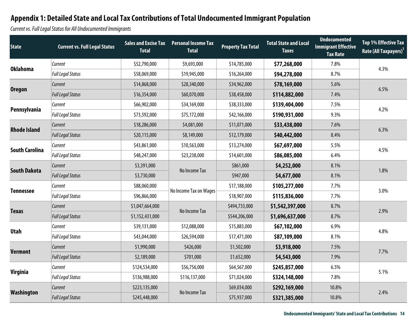Current vs. Full Legal Status for All Undocumented Immigrants

| <b>State</b>          | <b>Current vs. Full Legal Status</b> | <b>Sales and Excise Tax</b><br><b>Total</b> | <b>Personal Income Tax</b><br><b>Total</b> | <b>Property Tax Total</b> | <b>Total State and Local</b><br><b>Taxes</b> | <b>Undocumented</b><br><b>Immigrant Effective</b><br><b>Tax Rate</b> | <b>Top 1% Effective Tax</b><br>Rate (All Taxpayers) <sup>1</sup> |
|-----------------------|--------------------------------------|---------------------------------------------|--------------------------------------------|---------------------------|----------------------------------------------|----------------------------------------------------------------------|------------------------------------------------------------------|
| <b>Oklahoma</b>       | Current                              | \$52,790,000                                | \$9,693,000                                | \$14,785,000              | \$77,268,000                                 | 7.8%                                                                 | 4.3%                                                             |
|                       | <b>Full Legal Status</b>             | \$58,069,000                                | \$19,945,000                               | \$16,264,000              | \$94,278,000                                 | 8.7%                                                                 |                                                                  |
|                       | <b>Current</b>                       | \$14,868,000                                | \$28,340,000                               | \$34,962,000              | \$78,169,000                                 | 5.6%                                                                 | 6.5%                                                             |
| <b>Oregon</b>         | Full Legal Status                    | \$16,354,000                                | \$60,070,000                               | \$38,458,000              | \$114,882,000                                | 7.4%                                                                 |                                                                  |
| Pennsylvania          | <b>Current</b>                       | \$66,902,000                                | \$34,169,000                               | \$38,333,000              | \$139,404,000                                | 7.5%                                                                 | 4.2%                                                             |
|                       | <b>Full Legal Status</b>             | \$73,592,000                                | \$75,172,000                               | \$42,166,000              | \$190,931,000                                | 9.3%                                                                 |                                                                  |
| <b>Rhode Island</b>   | <b>Current</b>                       | \$18,286,000                                | \$4,081,000                                | \$11,071,000              | \$33,438,000                                 | 7.6%                                                                 | 6.3%                                                             |
|                       | Full Legal Status                    | \$20,115,000                                | \$8,149,000                                | \$12,179,000              | \$40,442,000                                 | 8.4%                                                                 |                                                                  |
| <b>South Carolina</b> | <b>Current</b>                       | \$43,861,000                                | \$10,563,000                               | \$13,274,000              | \$67,697,000                                 | 5.5%                                                                 | 4.5%                                                             |
|                       | Full Legal Status                    | \$48,247,000                                | \$23,238,000                               | \$14,601,000              | \$86,085,000                                 | 6.4%                                                                 |                                                                  |
| <b>South Dakota</b>   | <b>Current</b>                       | \$3,391,000                                 | No Income Tax                              | \$861,000                 | \$4,252,000                                  | 8.1%                                                                 | 1.8%                                                             |
|                       | <b>Full Legal Status</b>             | \$3,730,000                                 |                                            | \$947,000                 | \$4,677,000                                  | 8.1%                                                                 |                                                                  |
| <b>Tennessee</b>      | Current                              | \$88,060,000                                | No Income Tax on Wages                     | \$17,188,000              | \$105,277,000                                | 7.7%                                                                 | 3.0%                                                             |
|                       | <b>Full Legal Status</b>             | \$96,866,000                                |                                            | \$18,907,000              | \$115,836,000                                | 7.7%                                                                 |                                                                  |
| <b>Texas</b>          | Current                              | \$1,047,664,000                             | No Income Tax                              | \$494,733,000             | \$1,542,397,000                              | 8.7%                                                                 |                                                                  |
|                       | <b>Full Legal Status</b>             | \$1,152,431,000                             |                                            | \$544,206,000             | \$1,696,637,000                              | 8.7%                                                                 | 2.9%                                                             |
| <b>Utah</b>           | Current                              | \$39,131,000                                | \$12,088,000                               | \$15,883,000              | \$67,102,000                                 | 6.9%                                                                 | 4.8%                                                             |
|                       | <b>Full Legal Status</b>             | \$43,044,000                                | \$26,594,000                               | \$17,471,000              | \$87,109,000                                 | 8.1%                                                                 |                                                                  |
| <b>Vermont</b>        | Current                              | \$1,990,000                                 | \$426,000                                  | \$1,502,000               | \$3,918,000                                  | 7.5%                                                                 | 7.7%                                                             |
|                       | <b>Full Legal Status</b>             | \$2,189,000                                 | \$701,000                                  | \$1,652,000               | \$4,543,000                                  | 7.9%                                                                 |                                                                  |
|                       | Current                              | \$124,534,000                               | \$56,756,000                               | \$64,567,000              | \$245,857,000                                | 6.5%                                                                 | 5.1%                                                             |
| <b>Virginia</b>       | <b>Full Legal Status</b>             | \$136,988,000                               | \$116,137,000                              | \$71,024,000              | \$324,148,000                                | 7.8%                                                                 |                                                                  |
|                       | <b>Current</b>                       | \$223,135,000                               | No Income Tax                              | \$69,034,000              | \$292,169,000                                | 10.8%                                                                |                                                                  |
| Washington            | <b>Full Legal Status</b>             | \$245,448,000                               |                                            | \$75,937,000              | \$321,385,000                                | 10.8%                                                                | 2.4%                                                             |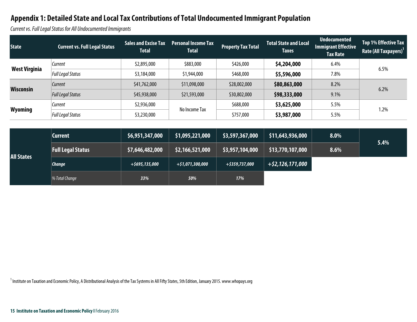Current vs. Full Legal Status for All Undocumented Immigrants

| <b>State</b>         | <b>Current vs. Full Legal Status</b> | <b>Sales and Excise Tax</b><br><b>Total</b> | <b>Personal Income Tax</b><br><b>Total</b> | <b>Property Tax Total</b> | <b>Total State and Local</b><br><b>Taxes</b> | <b>Undocumented</b><br>Immigrant Effective<br><b>Tax Rate</b> | <b>Top 1% Effective Tax</b><br>Rate (All Taxpayers) <sup>1</sup> |
|----------------------|--------------------------------------|---------------------------------------------|--------------------------------------------|---------------------------|----------------------------------------------|---------------------------------------------------------------|------------------------------------------------------------------|
| <b>West Virginia</b> | Current                              | \$2,895,000                                 | \$883,000                                  | \$426,000                 | \$4,204,000                                  | 6.4%                                                          | 6.5%                                                             |
|                      | <b>Full Legal Status</b>             | \$3,184,000                                 | \$1,944,000                                | \$468,000                 | \$5,596,000                                  | 7.8%                                                          |                                                                  |
| Wisconsin            | <b>Current</b>                       | \$41,762,000                                | \$11,098,000                               | \$28,002,000              | \$80,863,000                                 | 8.2%                                                          | 6.2%                                                             |
|                      | <b>Full Legal Status</b>             | \$45,938,000                                | \$21,593,000                               | \$30,802,000              | \$98,333,000                                 | 9.1%                                                          |                                                                  |
| <b>Wyoming</b>       | Current                              | \$2,936,000                                 |                                            | \$688,000                 | \$3,625,000                                  | 5.5%                                                          |                                                                  |
|                      | <b>Full Legal Status</b>             | \$3,230,000                                 | No Income Tax                              | \$757,000                 | \$3,987,000                                  | 5.5%                                                          | 1.2%                                                             |
|                      |                                      |                                             |                                            |                           |                                              |                                                               |                                                                  |

| <b>All States</b> | Current                  | \$6,951,347,000   | \$1,095,221,000  | \$3,597,367,000 | \$11,643,936,000    | 8.0% | 5.4% |
|-------------------|--------------------------|-------------------|------------------|-----------------|---------------------|------|------|
|                   | <b>Full Legal Status</b> | \$7,646,482,000   | \$2,166,521,000  | \$3,957,104,000 | \$13,770,107,000    | 8.6% |      |
|                   | <b>Change</b>            | $+$ \$695,135,000 | +\$1,071,300,000 | +\$359,737,000  | $+$ \$2,126,171,000 |      |      |
|                   | $\%$ Total Change        | 33%               | 50%              | 17%             |                     |      |      |

<sup>1</sup> Institute on Taxation and Economic Policy, A Distributional Analysis of the Tax Systems in All Fifty States, 5th Edition, January 2015. www.whopays.org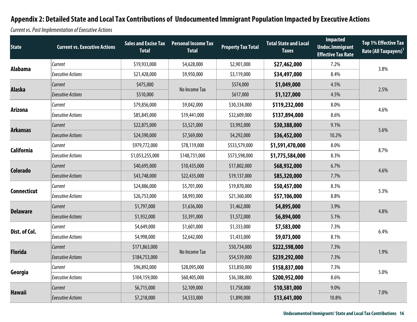Current vs. Post Implementation of Executive Actions

| <b>State</b>       | <b>Current vs. Executive Actions</b> | <b>Total</b>    | Sales and Excise Tax Personal Income Tax<br><b>Total</b> | <b>Property Tax Total</b> | <b>Total State and Local</b><br><b>Taxes</b> | Impacted<br><b>Undoc.Immigrant</b><br><b>Effective Tax Rate</b> | <b>Top 1% Effective Tax</b><br>Rate (All Taxpayers) <sup>1</sup> |
|--------------------|--------------------------------------|-----------------|----------------------------------------------------------|---------------------------|----------------------------------------------|-----------------------------------------------------------------|------------------------------------------------------------------|
| Alabama            | Current                              | \$19,933,000    | \$4,628,000                                              | \$2,901,000               | \$27,462,000                                 | 7.2%                                                            | 3.8%                                                             |
|                    | <b>Executive Actions</b>             | \$21,428,000    | \$9,950,000                                              | \$3,119,000               | \$34,497,000                                 | 8.4%                                                            |                                                                  |
| <b>Alaska</b>      | Current                              | \$475,000       | No Income Tax                                            | \$574,000                 | \$1,049,000                                  | 4.5%                                                            | 2.5%                                                             |
|                    | <b>Executive Actions</b>             | \$510,000       |                                                          | \$617,000                 | \$1,127,000                                  | 4.5%                                                            |                                                                  |
|                    | Current                              | \$79,856,000    | \$9,042,000                                              | \$30,334,000              | \$119,232,000                                | 8.0%                                                            | 4.6%                                                             |
| <b>Arizona</b>     | <b>Executive Actions</b>             | \$85,845,000    | \$19,441,000                                             | \$32,609,000              | \$137,894,000                                | 8.6%                                                            |                                                                  |
| <b>Arkansas</b>    | Current                              | \$22,875,000    | \$3,521,000                                              | \$3,992,000               | \$30,388,000                                 | 9.1%                                                            | 5.6%                                                             |
|                    | <b>Executive Actions</b>             | \$24,590,000    | \$7,569,000                                              | \$4,292,000               | \$36,452,000                                 | 10.2%                                                           |                                                                  |
|                    | Current                              | \$979,772,000   | \$78,119,000                                             | \$533,579,000             | \$1,591,470,000                              | 8.0%                                                            | 8.7%                                                             |
| <b>California</b>  | <b>Executive Actions</b>             | \$1,053,255,000 | \$148,731,000                                            | \$573,598,000             | \$1,775,584,000                              | 8.3%                                                            |                                                                  |
|                    | Current                              | \$40,695,000    | \$10,435,000                                             | \$17,802,000              | \$68,932,000                                 | 6.7%                                                            | 4.6%                                                             |
| <b>Colorado</b>    | <b>Executive Actions</b>             | \$43,748,000    | \$22,435,000                                             | \$19,137,000              | \$85,320,000                                 | 7.7%                                                            |                                                                  |
|                    | Current                              | \$24,886,000    | \$5,701,000                                              | \$19,870,000              | \$50,457,000                                 | 8.3%                                                            | 5.3%                                                             |
| <b>Connecticut</b> | <b>Executive Actions</b>             | \$26,753,000    | \$8,993,000                                              | \$21,360,000              | \$57,106,000                                 | 8.8%                                                            |                                                                  |
|                    | Current                              | \$1,797,000     | \$1,636,000                                              | \$1,462,000               | \$4,895,000                                  | 3.9%                                                            |                                                                  |
| <b>Delaware</b>    | <b>Executive Actions</b>             | \$1,932,000     | \$3,391,000                                              | \$1,572,000               | \$6,894,000                                  | 5.1%                                                            | 4.8%                                                             |
|                    | Current                              | \$4,649,000     | \$1,601,000                                              | \$1,333,000               | \$7,583,000                                  | 7.3%                                                            |                                                                  |
| Dist. of Col.      | <b>Executive Actions</b>             | \$4,998,000     | \$2,642,000                                              | \$1,433,000               | \$9,073,000                                  | 8.1%                                                            | 6.4%                                                             |
|                    | Current                              | \$171,863,000   |                                                          | \$50,734,000              | \$222,598,000                                | 7.3%                                                            |                                                                  |
| <b>Florida</b>     | <b>Executive Actions</b>             | \$184,753,000   | No Income Tax                                            | \$54,539,000              | \$239,292,000                                | 7.3%                                                            | 1.9%                                                             |
|                    | Current                              | \$96,892,000    | \$28,095,000                                             | \$33,850,000              | \$158,837,000                                | 7.3%                                                            |                                                                  |
| Georgia            | <b>Executive Actions</b>             | \$104,159,000   | \$60,405,000                                             | \$36,388,000              | \$200,952,000                                | 8.6%                                                            | 5.0%                                                             |
|                    | Current                              | \$6,715,000     | \$2,109,000                                              | \$1,758,000               | \$10,581,000                                 | 9.0%                                                            |                                                                  |
| <b>Hawaii</b>      | <b>Executive Actions</b>             | \$7,218,000     | \$4,533,000                                              | \$1,890,000               | \$13,641,000                                 | 10.8%                                                           | 7.0%                                                             |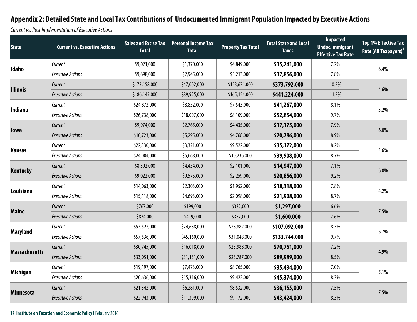Current vs. Post Im plementation of Executive Actions

| <b>State</b>         | <b>Current vs. Executive Actions</b> | <b>Sales and Excise Tax</b><br><b>Total</b> | <b>Personal Income Tax</b><br><b>Total</b> | <b>Property Tax Total</b> | <b>Total State and Local</b><br><b>Taxes</b> | <b>Impacted</b><br><b>Undoc.Immigrant</b><br><b>Effective Tax Rate</b> | <b>Top 1% Effective Tax</b><br>Rate (All Taxpayers) <sup>1</sup> |
|----------------------|--------------------------------------|---------------------------------------------|--------------------------------------------|---------------------------|----------------------------------------------|------------------------------------------------------------------------|------------------------------------------------------------------|
| Idaho                | Current                              | \$9,021,000                                 | \$1,370,000                                | \$4,849,000               | \$15,241,000                                 | 7.2%                                                                   | 6.4%                                                             |
|                      | <b>Executive Actions</b>             | \$9,698,000                                 | \$2,945,000                                | \$5,213,000               | \$17,856,000                                 | 7.8%                                                                   |                                                                  |
| <b>Illinois</b>      | Current                              | \$173,158,000                               | \$47,002,000                               | \$153,631,000             | \$373,792,000                                | 10.3%                                                                  | 4.6%                                                             |
|                      | <b>Executive Actions</b>             | \$186,145,000                               | \$89,925,000                               | \$165,154,000             | \$441,224,000                                | 11.3%                                                                  |                                                                  |
|                      | Current                              | \$24,872,000                                | \$8,852,000                                | \$7,543,000               | \$41,267,000                                 | 8.1%                                                                   | 5.2%                                                             |
| <b>Indiana</b>       | <b>Executive Actions</b>             | \$26,738,000                                | \$18,007,000                               | \$8,109,000               | \$52,854,000                                 | 9.7%                                                                   |                                                                  |
|                      | Current                              | \$9,974,000                                 | \$2,765,000                                | \$4,435,000               | \$17,175,000                                 | 7.9%                                                                   |                                                                  |
| lowa                 | <b>Executive Actions</b>             | \$10,723,000                                | \$5,295,000                                | \$4,768,000               | \$20,786,000                                 | 8.9%                                                                   | 6.0%                                                             |
|                      | Current                              | \$22,330,000                                | \$3,321,000                                | \$9,522,000               | \$35,172,000                                 | 8.2%                                                                   | 3.6%                                                             |
| <b>Kansas</b>        | <b>Executive Actions</b>             | \$24,004,000                                | \$5,668,000                                | \$10,236,000              | \$39,908,000                                 | 8.7%                                                                   |                                                                  |
|                      | Current                              | \$8,392,000                                 | \$4,454,000                                | \$2,101,000               | \$14,947,000                                 | 7.1%                                                                   | 6.0%                                                             |
| <b>Kentucky</b>      | <b>Executive Actions</b>             | \$9,022,000                                 | \$9,575,000                                | \$2,259,000               | \$20,856,000                                 | 9.2%                                                                   |                                                                  |
|                      | Current                              | \$14,063,000                                | \$2,303,000                                | \$1,952,000               | \$18,318,000                                 | 7.8%                                                                   | 4.2%                                                             |
| Louisiana            | <b>Executive Actions</b>             | \$15,118,000                                | \$4,693,000                                | \$2,098,000               | \$21,908,000                                 | 8.7%                                                                   |                                                                  |
|                      | Current                              | \$767,000                                   | \$199,000                                  | \$332,000                 | \$1,297,000                                  | 6.6%                                                                   |                                                                  |
| <b>Maine</b>         | <b>Executive Actions</b>             | \$824,000                                   | \$419,000                                  | \$357,000                 | \$1,600,000                                  | 7.6%                                                                   | 7.5%                                                             |
|                      | Current                              | \$53,522,000                                | \$24,688,000                               | \$28,882,000              | \$107,092,000                                | 8.3%                                                                   |                                                                  |
| <b>Maryland</b>      | <b>Executive Actions</b>             | \$57,536,000                                | \$45,160,000                               | \$31,048,000              | \$133,744,000                                | 9.7%                                                                   | 6.7%                                                             |
|                      | Current                              | \$30,745,000                                | \$16,018,000                               | \$23,988,000              | \$70,751,000                                 | 7.2%                                                                   |                                                                  |
| <b>Massachusetts</b> | <b>Executive Actions</b>             | \$33,051,000                                | \$31,151,000                               | \$25,787,000              | \$89,989,000                                 | 8.5%                                                                   | 4.9%                                                             |
|                      | Current                              | \$19,197,000                                | \$7,473,000                                | \$8,765,000               | \$35,434,000                                 | 7.0%                                                                   |                                                                  |
| <b>Michigan</b>      | <b>Executive Actions</b>             | \$20,636,000                                | \$15,316,000                               | \$9,422,000               | \$45,374,000                                 | 8.3%                                                                   | 5.1%                                                             |
|                      | Current                              | \$21,342,000                                | \$6,281,000                                | \$8,532,000               | \$36,155,000                                 | 7.5%                                                                   |                                                                  |
| <b>Minnesota</b>     | <b>Executive Actions</b>             | \$22,943,000                                | \$11,309,000                               | \$9,172,000               | \$43,424,000                                 | 8.3%                                                                   | 7.5%                                                             |

#### **17 Institute on Taxation and Economic Policy I** February 2016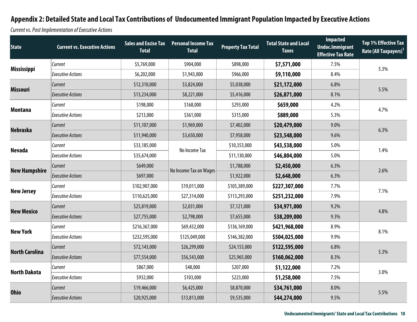Current vs. Post Im plementation of Executive Actions

| <b>State</b>          | <b>Current vs. Executive Actions</b> | <b>Total</b>  | <b>Sales and Excise Tax Personal Income Tax</b><br><b>Total</b> | <b>Property Tax Total</b> | <b>Total State and Local</b><br><b>Taxes</b> | <b>Impacted</b><br><b>Undoc.Immigrant</b><br><b>Effective Tax Rate</b> | <b>Top 1% Effective Tax</b><br>Rate (All Taxpayers) <sup>1</sup> |
|-----------------------|--------------------------------------|---------------|-----------------------------------------------------------------|---------------------------|----------------------------------------------|------------------------------------------------------------------------|------------------------------------------------------------------|
|                       | Current                              | \$5,769,000   | \$904,000                                                       | \$898,000                 | \$7,571,000                                  | 7.5%                                                                   | 5.3%                                                             |
| <b>Mississippi</b>    | <b>Executive Actions</b>             | \$6,202,000   | \$1,943,000                                                     | \$966,000                 | \$9,110,000                                  | 8.4%                                                                   |                                                                  |
| <b>Missouri</b>       | Current                              | \$12,310,000  | \$3,824,000                                                     | \$5,038,000               | \$21,172,000                                 | 6.8%                                                                   | 5.5%                                                             |
|                       | <b>Executive Actions</b>             | \$13,234,000  | \$8,221,000                                                     | \$5,416,000               | \$26,871,000                                 | 8.1%                                                                   |                                                                  |
| <b>Montana</b>        | Current                              | \$198,000     | \$168,000                                                       | \$293,000                 | \$659,000                                    | 4.2%                                                                   | 4.7%                                                             |
|                       | <b>Executive Actions</b>             | \$213,000     | \$361,000                                                       | \$315,000                 | \$889,000                                    | 5.3%                                                                   |                                                                  |
|                       | Current                              | \$11,107,000  | \$1,969,000                                                     | \$7,402,000               | \$20,479,000                                 | 9.0%                                                                   | 6.3%                                                             |
| <b>Nebraska</b>       | <b>Executive Actions</b>             | \$11,940,000  | \$3,650,000                                                     | \$7,958,000               | \$23,548,000                                 | 9.6%                                                                   |                                                                  |
|                       | Current                              | \$33,185,000  | No Income Tax                                                   | \$10,353,000              | \$43,538,000                                 | 5.0%                                                                   | 1.4%                                                             |
| <b>Nevada</b>         | <b>Executive Actions</b>             | \$35,674,000  |                                                                 | \$11,130,000              | \$46,804,000                                 | 5.0%                                                                   |                                                                  |
|                       | Current                              | \$649,000     |                                                                 | \$1,788,000               | \$2,450,000                                  | 6.3%                                                                   | 2.6%                                                             |
| <b>New Hampshire</b>  | <b>Executive Actions</b>             | \$697,000     | No Income Tax on Wages                                          | \$1,922,000               | \$2,648,000                                  | 6.3%                                                                   |                                                                  |
|                       | Current                              | \$102,907,000 | \$19,011,000                                                    | \$105,389,000             | \$227,307,000                                | 7.7%                                                                   | 7.1%                                                             |
| <b>New Jersey</b>     | <b>Executive Actions</b>             | \$110,625,000 | \$27,314,000                                                    | \$113,293,000             | \$251,232,000                                | 7.9%                                                                   |                                                                  |
|                       | Current                              | \$25,819,000  | \$2,031,000                                                     | \$7,121,000               | \$34,971,000                                 | 9.2%                                                                   |                                                                  |
| <b>New Mexico</b>     | <b>Executive Actions</b>             | \$27,755,000  | \$2,798,000                                                     | \$7,655,000               | \$38,209,000                                 | 9.3%                                                                   | 4.8%                                                             |
|                       | Current                              | \$216,367,000 | \$69,432,000                                                    | \$136,169,000             | \$421,968,000                                | 8.9%                                                                   |                                                                  |
| <b>New York</b>       | <b>Executive Actions</b>             | \$232,595,000 | \$125,049,000                                                   | \$146,382,000             | \$504,025,000                                | 9.9%                                                                   | 8.1%                                                             |
| <b>North Carolina</b> | Current                              | \$72,143,000  | \$26,299,000                                                    | \$24,153,000              | \$122,595,000                                | 6.8%                                                                   |                                                                  |
|                       | <b>Executive Actions</b>             | \$77,554,000  | \$56,543,000                                                    | \$25,965,000              | \$160,062,000                                | 8.3%                                                                   | 5.3%                                                             |
|                       | Current                              | \$867,000     | \$48,000                                                        | \$207,000                 | \$1,122,000                                  | 7.2%                                                                   |                                                                  |
| <b>North Dakota</b>   | <b>Executive Actions</b>             | \$932,000     | \$103,000                                                       | \$223,000                 | \$1,258,000                                  | 7.5%                                                                   | 3.0%                                                             |
|                       | Current                              | \$19,466,000  | \$6,425,000                                                     | \$8,870,000               | \$34,761,000                                 | 8.0%                                                                   |                                                                  |
| <b>Ohio</b>           | <b>Executive Actions</b>             | \$20,925,000  | \$13,813,000                                                    | \$9,535,000               | \$44,274,000                                 | 9.5%                                                                   | 5.5%                                                             |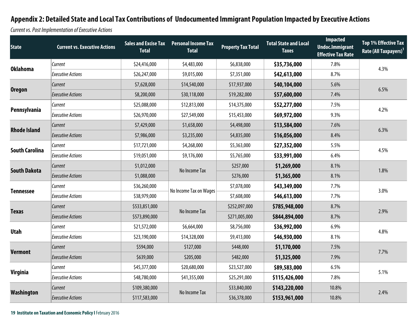Current vs. Post Im plementation of Executive Actions

| <b>State</b>          | <b>Current vs. Executive Actions</b> | <b>Sales and Excise Tax</b><br><b>Total</b> | <b>Personal Income Tax</b><br><b>Total</b> | <b>Property Tax Total</b> | <b>Total State and Local</b><br><b>Taxes</b> | <b>Impacted</b><br><b>Undoc.Immigrant</b><br><b>Effective Tax Rate</b> | <b>Top 1% Effective Tax</b><br>Rate (All Taxpayers) <sup>1</sup> |  |
|-----------------------|--------------------------------------|---------------------------------------------|--------------------------------------------|---------------------------|----------------------------------------------|------------------------------------------------------------------------|------------------------------------------------------------------|--|
|                       | Current                              | \$24,416,000                                | \$4,483,000                                | \$6,838,000               | \$35,736,000                                 | 7.8%                                                                   | 4.3%                                                             |  |
| <b>Oklahoma</b>       | <b>Executive Actions</b>             | \$26,247,000                                | \$9,015,000                                | \$7,351,000               | \$42,613,000                                 | 8.7%                                                                   |                                                                  |  |
|                       | Current                              | \$7,628,000                                 | \$14,540,000                               | \$17,937,000              | \$40,104,000                                 | 5.6%                                                                   |                                                                  |  |
| <b>Oregon</b>         | <b>Executive Actions</b>             | \$8,200,000                                 | \$30,118,000                               | \$19,282,000              | \$57,600,000                                 | 7.4%                                                                   | 6.5%                                                             |  |
|                       | Current                              | \$25,088,000                                | \$12,813,000                               | \$14,375,000              | \$52,277,000                                 | 7.5%                                                                   | 4.2%                                                             |  |
| Pennsylvania          | <b>Executive Actions</b>             | \$26,970,000                                | \$27,549,000                               | \$15,453,000              | \$69,972,000                                 | 9.3%                                                                   |                                                                  |  |
|                       | <b>Current</b>                       | \$7,429,000                                 | \$1,658,000                                | \$4,498,000               | \$13,584,000                                 | 7.6%                                                                   |                                                                  |  |
| <b>Rhode Island</b>   | <b>Executive Actions</b>             | \$7,986,000                                 | \$3,235,000                                | \$4,835,000               | \$16,056,000                                 | 8.4%                                                                   | 6.3%                                                             |  |
|                       | Current                              | \$17,721,000                                | \$4,268,000                                | \$5,363,000               | \$27,352,000                                 | 5.5%                                                                   |                                                                  |  |
| <b>South Carolina</b> | <b>Executive Actions</b>             | \$19,051,000                                | \$9,176,000                                | \$5,765,000               | \$33,991,000                                 | 6.4%                                                                   | 4.5%                                                             |  |
| <b>South Dakota</b>   | Current                              | \$1,012,000                                 |                                            | \$257,000                 | \$1,269,000                                  | 8.1%                                                                   | 1.8%                                                             |  |
|                       | <b>Executive Actions</b>             | \$1,088,000                                 | No Income Tax                              | \$276,000                 | \$1,365,000                                  | 8.1%                                                                   |                                                                  |  |
|                       | Current                              | \$36,260,000                                | No Income Tax on Wages                     | \$7,078,000               | \$43,349,000                                 | 7.7%                                                                   | 3.0%                                                             |  |
| <b>Tennessee</b>      | <b>Executive Actions</b>             | \$38,979,000                                |                                            | \$7,608,000               | \$46,613,000                                 | 7.7%                                                                   |                                                                  |  |
| <b>Texas</b>          | Current                              | \$533,851,000                               |                                            | \$252,097,000             | \$785,948,000                                | 8.7%                                                                   | 2.9%                                                             |  |
|                       | <b>Executive Actions</b>             | \$573,890,000                               | No Income Tax                              | \$271,005,000             | \$844,894,000                                | 8.7%                                                                   |                                                                  |  |
|                       | Current                              | \$21,572,000                                | \$6,664,000                                | \$8,756,000               | \$36,992,000                                 | 6.9%                                                                   | 4.8%                                                             |  |
| <b>Utah</b>           | <b>Executive Actions</b>             | \$23,190,000                                | \$14,328,000                               | \$9,413,000               | \$46,930,000                                 | 8.1%                                                                   |                                                                  |  |
| <b>Vermont</b>        | Current                              | \$594,000                                   | \$127,000                                  | \$448,000                 | \$1,170,000                                  | 7.5%                                                                   |                                                                  |  |
|                       | <b>Executive Actions</b>             | \$639,000                                   | \$205,000                                  | \$482,000                 | \$1,325,000                                  | 7.9%                                                                   | 7.7%                                                             |  |
| <b>Virginia</b>       | Current                              | \$45,377,000                                | \$20,680,000                               | \$23,527,000              | \$89,583,000                                 | 6.5%                                                                   |                                                                  |  |
|                       | <b>Executive Actions</b>             | \$48,780,000                                | \$41,355,000                               | \$25,291,000              | \$115,426,000                                | 7.8%                                                                   | 5.1%                                                             |  |
|                       | Current                              | \$109,380,000                               |                                            | \$33,840,000              | \$143,220,000                                | 10.8%                                                                  |                                                                  |  |
| Washington            | <b>Executive Actions</b>             | \$117,583,000                               | No Income Tax                              | \$36,378,000              | \$153,961,000                                | 10.8%                                                                  | 2.4%                                                             |  |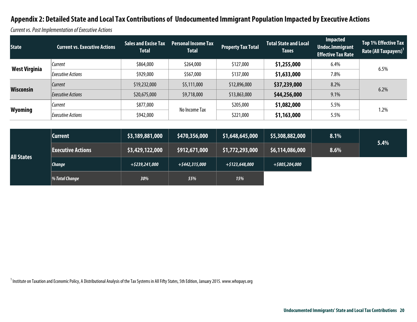Current vs. Post Im plementation of Executive Actions

| \$264,000<br>\$864,000<br>\$127,000<br>\$1,255,000<br>Current<br>6.4%<br><b>West Virginia</b><br>6.5%<br>\$1,633,000<br>\$567,000<br>7.8%<br>\$929,000<br>\$137,000<br><b>Executive Actions</b><br>Current<br>\$5,111,000<br>\$37,239,000<br>\$19,232,000<br>8.2%<br>\$12,896,000<br>Wisconsin<br>6.2%<br>\$44,256,000<br>\$9,718,000<br>9.1%<br>\$20,675,000<br>\$13,863,000<br>Executive Actions | <b>State</b>   | <b>Current vs. Executive Actions</b> | <b>Sales and Excise Tax</b><br><b>Total</b> | <b>Personal Income Tax</b><br><b>Total</b> | <b>Property Tax Total</b> | <b>Total State and Local</b><br><b>Taxes</b> | <b>Impacted</b><br><b>Undoc.Immigrant</b><br><b>Effective Tax Rate</b> | Top 1% Effective Tax<br><b>Rate (All Taxpayers)</b> <sup>1</sup> |  |
|----------------------------------------------------------------------------------------------------------------------------------------------------------------------------------------------------------------------------------------------------------------------------------------------------------------------------------------------------------------------------------------------------|----------------|--------------------------------------|---------------------------------------------|--------------------------------------------|---------------------------|----------------------------------------------|------------------------------------------------------------------------|------------------------------------------------------------------|--|
|                                                                                                                                                                                                                                                                                                                                                                                                    |                |                                      |                                             |                                            |                           |                                              |                                                                        |                                                                  |  |
|                                                                                                                                                                                                                                                                                                                                                                                                    |                |                                      |                                             |                                            |                           |                                              |                                                                        |                                                                  |  |
|                                                                                                                                                                                                                                                                                                                                                                                                    |                |                                      |                                             |                                            |                           |                                              |                                                                        |                                                                  |  |
|                                                                                                                                                                                                                                                                                                                                                                                                    |                |                                      |                                             |                                            |                           |                                              |                                                                        |                                                                  |  |
| 1.2%                                                                                                                                                                                                                                                                                                                                                                                               | <b>Wyoming</b> | Current                              | \$877,000                                   | No Income Tax                              | \$205,000                 | \$1,082,000                                  | 5.5%                                                                   |                                                                  |  |
| \$1,163,000<br>\$942,000<br>\$221,000<br>5.5%<br><b>Executive Actions</b>                                                                                                                                                                                                                                                                                                                          |                |                                      |                                             |                                            |                           |                                              |                                                                        |                                                                  |  |

| <b>All States</b> | <b>Current</b>           | \$3,189,881,000   | \$470,356,000  | \$1,648,645,000   | \$5,308,882,000 | 8.1% | 5.4% |
|-------------------|--------------------------|-------------------|----------------|-------------------|-----------------|------|------|
|                   | <b>Executive Actions</b> | \$3,429,122,000   | \$912,671,000  | \$1,772,293,000   | \$6,114,086,000 | 8.6% |      |
|                   | $ $ <i>Change</i>        | $+$ \$239,241,000 | +\$442,315,000 | $+$ \$123,648,000 | +\$805,204,000  |      |      |
|                   | $\%$ Total Change        | 30%               | 55%            | 15%               |                 |      |      |

 $1$  Institute on Taxation and Economic Policy, A Distributional Analysis of the Tax Systems in All Fifty States, 5th Edition, January 2015. www.whopays.org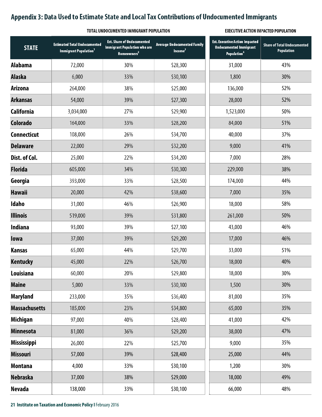### **Appendix 3: Data Used to Estimate State and Local Tax Contributions of Undocumented Immigrants**

#### **TOTAL UNDOCUMENTED IMMIGRANT POPULATION EXECUTIVE ACTION IMPACTED POPULATION**

| <b>STATE</b>         | <b>Estimated Total Undocumented</b><br>Immigrant Population <sup>1</sup> | <b>Est. Share of Undocumented</b><br><b>Immigrant Population who are</b><br>Homeowners <sup>2</sup> | <b>Average Undocumented Family</b><br>Income <sup>3</sup> | <b>Est. Executive Action Impacted</b><br><b>Undocumented Immigrant</b><br>Population <sup>4</sup> | <b>Share of Total Undocumented</b><br><b>Population</b> |
|----------------------|--------------------------------------------------------------------------|-----------------------------------------------------------------------------------------------------|-----------------------------------------------------------|---------------------------------------------------------------------------------------------------|---------------------------------------------------------|
| <b>Alabama</b>       | 72,000                                                                   | 30%                                                                                                 | \$28,300                                                  | 31,000                                                                                            | 43%                                                     |
| <b>Alaska</b>        | 6,000                                                                    | 33%                                                                                                 | \$30,100                                                  | 1,800                                                                                             | 30%                                                     |
| <b>Arizona</b>       | 264,000                                                                  | 38%                                                                                                 | \$25,000                                                  | 136,000                                                                                           | 52%                                                     |
| <b>Arkansas</b>      | 54,000                                                                   | 39%                                                                                                 | \$27,300                                                  | 28,000                                                                                            | 52%                                                     |
| <b>California</b>    | 3,034,000                                                                | 27%                                                                                                 | \$29,900                                                  | 1,523,000                                                                                         | 50%                                                     |
| Colorado             | 164,000                                                                  | 33%                                                                                                 | \$28,200                                                  | 84,000                                                                                            | 51%                                                     |
| <b>Connecticut</b>   | 108,000                                                                  | 26%                                                                                                 | \$34,700                                                  | 40,000                                                                                            | 37%                                                     |
| <b>Delaware</b>      | 22,000                                                                   | 29%                                                                                                 | \$32,200                                                  | 9,000                                                                                             | 41%                                                     |
| Dist. of Col.        | 25,000                                                                   | 22%                                                                                                 | \$34,200                                                  | 7,000                                                                                             | 28%                                                     |
| <b>Florida</b>       | 605,000                                                                  | 34%                                                                                                 | \$30,300                                                  | 229,000                                                                                           | 38%                                                     |
| Georgia              | 393,000                                                                  | 33%                                                                                                 | \$28,500                                                  | 174,000                                                                                           | 44%                                                     |
| <b>Hawaii</b>        | 20,000                                                                   | 42%                                                                                                 | \$38,600                                                  | 7,000                                                                                             | 35%                                                     |
| Idaho                | 31,000                                                                   | 46%                                                                                                 | \$26,900                                                  | 18,000                                                                                            | 58%                                                     |
| <b>Illinois</b>      | 519,000                                                                  | 39%                                                                                                 | \$31,800                                                  | 261,000                                                                                           | 50%                                                     |
| Indiana              | 93,000                                                                   | 39%                                                                                                 | \$27,100                                                  | 43,000                                                                                            | 46%                                                     |
| lowa                 | 37,000                                                                   | 39%                                                                                                 | \$29,200                                                  | 17,000                                                                                            | 46%                                                     |
| <b>Kansas</b>        | 65,000                                                                   | 44%                                                                                                 | \$29,700                                                  | 33,000                                                                                            | 51%                                                     |
| <b>Kentucky</b>      | 45,000                                                                   | 22%                                                                                                 | \$26,700                                                  | 18,000                                                                                            | 40%                                                     |
| Louisiana            | 60,000                                                                   | 20%                                                                                                 | \$29,800                                                  | 18,000                                                                                            | 30%                                                     |
| <b>Maine</b>         | 5,000                                                                    | 33%                                                                                                 | \$30,100                                                  | 1,500                                                                                             | 30%                                                     |
| <b>Maryland</b>      | 233,000                                                                  | 35%                                                                                                 | \$36,400                                                  | 81,000                                                                                            | 35%                                                     |
| <b>Massachusetts</b> | 185,000                                                                  | 23%                                                                                                 | \$34,800                                                  | 65,000                                                                                            | 35%                                                     |
| <b>Michigan</b>      | 97,000                                                                   | 40%                                                                                                 | \$28,400                                                  | 41,000                                                                                            | 42%                                                     |
| <b>Minnesota</b>     | 81,000                                                                   | 36%                                                                                                 | \$29,200                                                  | 38,000                                                                                            | 47%                                                     |
| <b>Mississippi</b>   | 26,000                                                                   | 22%                                                                                                 | \$25,700                                                  | 9,000                                                                                             | 35%                                                     |
| <b>Missouri</b>      | 57,000                                                                   | 39%                                                                                                 | \$28,400                                                  | 25,000                                                                                            | 44%                                                     |
| <b>Montana</b>       | 4,000                                                                    | 33%                                                                                                 | \$30,100                                                  | 1,200                                                                                             | 30%                                                     |
| <b>Nebraska</b>      | 37,000                                                                   | 38%                                                                                                 | \$29,000                                                  | 18,000                                                                                            | 49%                                                     |
| <b>Nevada</b>        | 138,000                                                                  | 33%                                                                                                 | \$30,100                                                  | 66,000                                                                                            | 48%                                                     |